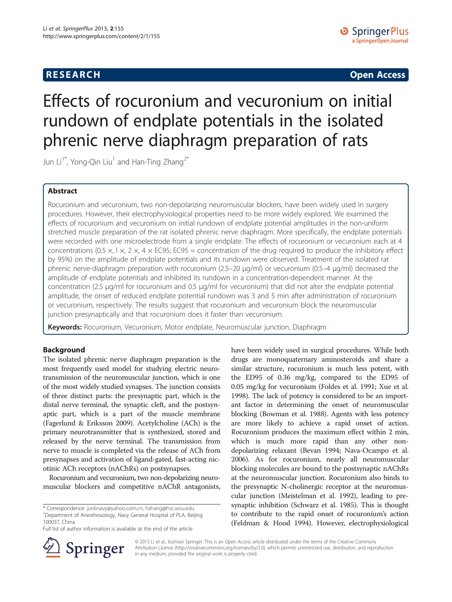## **RESEARCH CHINESE ARCH CHINESE ARCH CHINESE ARCH <b>CHINESE ARCH**

# Effects of rocuronium and vecuronium on initial rundown of endplate potentials in the isolated phrenic nerve diaphragm preparation of rats

Jun  $Li^{1*}$ , Yong-Qin Liu<sup>1</sup> and Han-Ting Zhang<sup>2\*</sup>

## Abstract

Rocuronium and vecuronium, two non-depolarizing neuromuscular blockers, have been widely used in surgery procedures. However, their electrophysiological properties need to be more widely explored. We examined the effects of rocuronium and vecuronium on initial rundown of endplate potential amplitudes in the non-uniform stretched muscle preparation of the rat isolated phrenic nerve diaphragm. More specifically, the endplate potentials were recorded with one microelectrode from a single endplate. The effects of rocuronium or vecuronium each at 4 concentrations (0.5  $\times$ ,  $1 \times$ , 2  $\times$ , 4  $\times$  EC95; EC95 = concentration of the drug required to produce the inhibitory effect by 95%) on the amplitude of endplate potentials and its rundown were observed. Treatment of the isolated rat phrenic nerve-diaphragm preparation with rocuronium (2.5–20 μg/ml) or vecuronium (0.5–4 μg/ml) decreased the amplitude of endplate potentials and inhibited its rundown in a concentration-dependent manner. At the concentration (2.5 μg/ml for rocuronium and 0.5 μg/ml for vecuronium) that did not alter the endplate potential amplitude, the onset of reduced endplate potential rundown was 3 and 5 min after administration of rocuronium or vecuronium, respectively. The results suggest that rocuronium and vecuronium block the neuromuscular junction presynaptically and that rocuronium does it faster than vecuronium.

Keywords: Rocuronium, Vecuronium, Motor endplate, Neuromuscular junction, Diaphragm

## Background

The isolated phrenic nerve diaphragm preparation is the most frequently used model for studying electric neurotransmission of the neuromuscular junction, which is one of the most widely studied synapses. The junction consists of three distinct parts: the presynaptic part, which is the distal nerve terminal, the synaptic cleft, and the postsynaptic part, which is a part of the muscle membrane (Fagerlund & Eriksson [2009\)](#page-5-0). Acetylcholine (ACh) is the primary neurotransmitter that is synthesized, stored and released by the nerve terminal. The transmission from nerve to muscle is completed via the release of ACh from presynapses and activation of ligand-gated, fast-acting nicotinic ACh receptors (nAChRs) on postsynapses.

Rocuronium and vecuronium, two non-depolarizing neuromuscular blockers and competitive nAChR antagonists,





© 2013 Li et al.; licensee Springer. This is an Open Access article distributed under the terms of the Creative Commons Attribution License [\(http://creativecommons.org/licenses/by/2.0\)](http://creativecommons.org/licenses/by/2.0), which permits unrestricted use, distribution, and reproduction in any medium, provided the original work is properly cited.

<sup>\*</sup> Correspondence: [junlinavy@yahoo.com.cn](mailto:junlinavy@yahoo.com.cn); [hzhang@hsc.wvu.edu](mailto:hzhang@hsc.wvu.edu) <sup>1</sup> <sup>1</sup>Department of Anesthesiology, Navy General Hospital of PLA, Beijing 100037, China

Full list of author information is available at the end of the article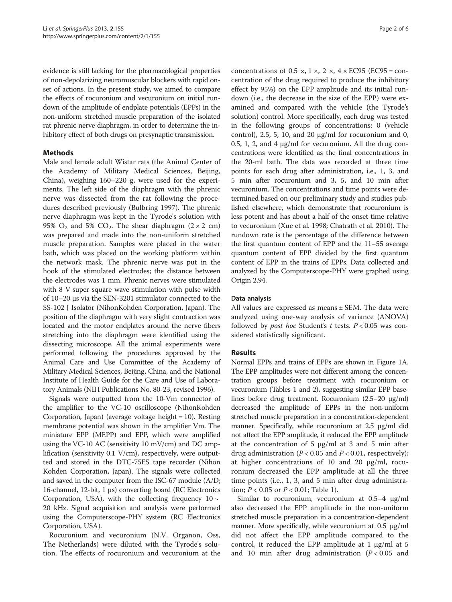evidence is still lacking for the pharmacological properties of non-depolarizing neuromuscular blockers with rapid onset of actions. In the present study, we aimed to compare the effects of rocuronium and vecuronium on initial rundown of the amplitude of endplate potentials (EPPs) in the non-uniform stretched muscle preparation of the isolated rat phrenic nerve diaphragm, in order to determine the inhibitory effect of both drugs on presynaptic transmission.

## Methods

Male and female adult Wistar rats (the Animal Center of the Academy of Military Medical Sciences, Beijing, China), weighing 160–220 g, were used for the experiments. The left side of the diaphragm with the phrenic nerve was dissected from the rat following the procedures described previously (Bulbring [1997](#page-5-0)). The phrenic nerve diaphragm was kept in the Tyrode's solution with 95%  $O_2$  and 5%  $CO_2$ . The shear diaphragm (2 × 2 cm) was prepared and made into the non-uniform stretched muscle preparation. Samples were placed in the water bath, which was placed on the working platform within the network mask. The phrenic nerve was put in the hook of the stimulated electrodes; the distance between the electrodes was 1 mm. Phrenic nerves were stimulated with 8 V super square wave stimulation with pulse width of 10–20 μs via the SEN-3201 stimulator connected to the SS-102 J Isolator (NihonKohden Corporation, Japan). The position of the diaphragm with very slight contraction was located and the motor endplates around the nerve fibers stretching into the diaphragm were identified using the dissecting microscope. All the animal experiments were performed following the procedures approved by the Animal Care and Use Committee of the Academy of Military Medical Sciences, Beijing, China, and the National Institute of Health Guide for the Care and Use of Laboratory Animals (NIH Publications No. 80-23, revised 1996).

Signals were outputted from the 10-Vm connector of the amplifier to the VC-10 oscilloscope (NihonKohden Corporation, Japan) (average voltage height = 10). Resting membrane potential was shown in the amplifier Vm. The miniature EPP (MEPP) and EPP, which were amplified using the VC-10 AC (sensitivity 10 mV/cm) and DC amplification (sensitivity 0.1 V/cm), respectively, were outputted and stored in the DTC-75ES tape recorder (Nihon Kohden Corporation, Japan). The signals were collected and saved in the computer from the ISC-67 module (A/D; 16-channel, 12-bit, 1 μs) converting board (RC Electronics Corporation, USA), with the collecting frequency  $10 \sim$ 20 kHz. Signal acquisition and analysis were performed using the Computerscope-PHY system (RC Electronics Corporation, USA).

Rocuronium and vecuronium (N.V. Organon, Oss, The Netherlands) were diluted with the Tyrode's solution. The effects of rocuronium and vecuronium at the

concentrations of 0.5  $\times$ , 1  $\times$ , 2  $\times$ , 4  $\times$  EC95 (EC95 = concentration of the drug required to produce the inhibitory effect by 95%) on the EPP amplitude and its initial rundown (i.e., the decrease in the size of the EPP) were examined and compared with the vehicle (the Tyrode's solution) control. More specifically, each drug was tested in the following groups of concentrations: 0 (vehicle control), 2.5, 5, 10, and 20  $\mu$ g/ml for rocuronium and 0, 0.5, 1, 2, and 4 μg/ml for vecuronium. All the drug concentrations were identified as the final concentrations in the 20-ml bath. The data was recorded at three time points for each drug after administration, i.e., 1, 3, and 5 min after rocuronium and 3, 5, and 10 min after vecuronium. The concentrations and time points were determined based on our preliminary study and studies published elsewhere, which demonstrate that rocuronium is less potent and has about a half of the onset time relative to vecuronium (Xue et al. [1998](#page-5-0); Chatrath et al. [2010\)](#page-5-0). The rundown rate is the percentage of the difference between the first quantum content of EPP and the 11–55 average quantum content of EPP divided by the first quantum content of EPP in the trains of EPPs. Data collected and analyzed by the Computerscope-PHY were graphed using Origin 2.94.

## Data analysis

All values are expressed as means ± SEM. The data were analyzed using one-way analysis of variance (ANOVA) followed by *post hoc* Student's  $t$  tests.  $P < 0.05$  was considered statistically significant.

## Results

Normal EPPs and trains of EPPs are shown in Figure [1A](#page-2-0). The EPP amplitudes were not different among the concentration groups before treatment with rocuronium or vecuronium (Tables [1](#page-3-0) and [2\)](#page-3-0), suggesting similar EPP baselines before drug treatment. Rocuronium (2.5–20 μg/ml) decreased the amplitude of EPPs in the non-uniform stretched muscle preparation in a concentration-dependent manner. Specifically, while rocuronium at 2.5 μg/ml did not affect the EPP amplitude, it reduced the EPP amplitude at the concentration of 5 μg/ml at 3 and 5 min after drug administration ( $P < 0.05$  and  $P < 0.01$ , respectively); at higher concentrations of 10 and 20 μg/ml, rocuronium decreased the EPP amplitude at all the three time points (i.e., 1, 3, and 5 min after drug administration;  $P < 0.05$  or  $P < 0.01$ ; Table [1\)](#page-3-0).

Similar to rocuronium, vecuronium at 0.5–4 μg/ml also decreased the EPP amplitude in the non-uniform stretched muscle preparation in a concentration-dependent manner. More specifically, while vecuronium at 0.5 μg/ml did not affect the EPP amplitude compared to the control, it reduced the EPP amplitude at 1  $\mu$ g/ml at 5 and 10 min after drug administration  $(P < 0.05$  and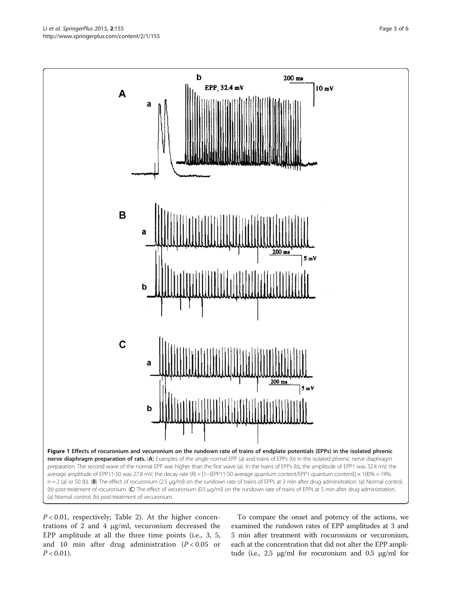<span id="page-2-0"></span>

 $P < 0.01$ , respectively; Table [2](#page-3-0)). At the higher concentrations of 2 and 4 μg/ml, vecuronium decreased the EPP amplitude at all the three time points (i.e., 3, 5, and 10 min after drug administration  $(P < 0.05$  or  $P < 0.01$ ).

To compare the onset and potency of the actions, we examined the rundown rates of EPP amplitudes at 3 and 5 min after treatment with rocuronium or vecuronium, each at the concentration that did not alter the EPP amplitude (i.e., 2.5 μg/ml for rocuronium and 0.5 μg/ml for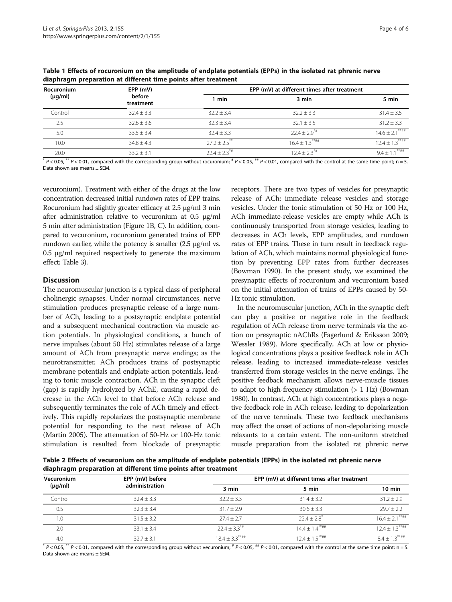| Rocuronium<br>$(\mu g/ml)$ | EPP (mV)<br>before<br>treatment | EPP (mV) at different times after treatment |                   |                   |  |
|----------------------------|---------------------------------|---------------------------------------------|-------------------|-------------------|--|
|                            |                                 | 1 min                                       | 3 min             | 5 min             |  |
| Control                    | $32.4 + 3.3$                    | $32.2 + 3.4$                                | $32.2 + 3.3$      | $31.4 + 3.5$      |  |
| 2.5                        | $32.6 + 3.6$                    | $32.3 + 3.4$                                | $32.1 + 3.5$      | $31.2 + 3.3$      |  |
| 5.0                        | $33.5 + 3.4$                    | $32.4 + 3.3$                                | $22.4 + 2.9^{*}$  | $14.6 \pm 2.1***$ |  |
| 10.0                       | $34.8 + 4.3$                    | $27.2 + 2.5$ **                             | $16.4 \pm 1.3***$ | $12.4 \pm 1.3***$ |  |
| 20.0                       | $33.2 + 3.1$                    | $22.4 + 2.3^{*}$                            | $124 + 23^{4}$    | $9.4 \pm 1.1***$  |  |
|                            |                                 |                                             |                   |                   |  |

<span id="page-3-0"></span>Table 1 Effects of rocuronium on the amplitude of endplate potentials (EPPs) in the isolated rat phrenic nerve diaphragm preparation at different time points after treatment

 $^*$  P < 0.05,  $^{**}$  P < 0.01, compared with the corresponding group without rocuronium;  $^{\#}$  P < 0.05,  $^{\#}$  P < 0.01, compared with the control at the same time point; n = 5.<br>Data shown are means + SEM Data shown are means ± SEM.

vecuronium). Treatment with either of the drugs at the low concentration decreased initial rundown rates of EPP trains. Rocuronium had slightly greater efficacy at 2.5 μg/ml 3 min after administration relative to vecuronium at 0.5 μg/ml 5 min after administration (Figure [1](#page-2-0)B, C). In addition, compared to vecuronium, rocuronium generated trains of EPP rundown earlier, while the potency is smaller (2.5 μg/ml vs. 0.5 μg/ml required respectively to generate the maximum effect; Table [3\)](#page-4-0).

### **Discussion**

The neuromuscular junction is a typical class of peripheral cholinergic synapses. Under normal circumstances, nerve stimulation produces presynaptic release of a large number of ACh, leading to a postsynaptic endplate potential and a subsequent mechanical contraction via muscle action potentials. In physiological conditions, a bunch of nerve impulses (about 50 Hz) stimulates release of a large amount of ACh from presynaptic nerve endings; as the neurotransmitter, ACh produces trains of postsynaptic membrane potentials and endplate action potentials, leading to tonic muscle contraction. ACh in the synaptic cleft (gap) is rapidly hydrolyzed by AChE, causing a rapid decrease in the ACh level to that before ACh release and subsequently terminates the role of ACh timely and effectively. This rapidly repolarizes the postsynaptic membrane potential for responding to the next release of ACh (Martin [2005](#page-5-0)). The attenuation of 50-Hz or 100-Hz tonic stimulation is resulted from blockade of presynaptic

receptors. There are two types of vesicles for presynaptic release of ACh: immediate release vesicles and storage vesicles. Under the tonic stimulation of 50 Hz or 100 Hz, ACh immediate-release vesicles are empty while ACh is continuously transported from storage vesicles, leading to decreases in ACh levels, EPP amplitudes, and rundown rates of EPP trains. These in turn result in feedback regulation of ACh, which maintains normal physiological function by preventing EPP rates from further decreases (Bowman [1990\)](#page-4-0). In the present study, we examined the presynaptic effects of rocuronium and vecuronium based on the initial attenuation of trains of EPPs caused by 50- Hz tonic stimulation.

In the neuromuscular junction, ACh in the synaptic cleft can play a positive or negative role in the feedback regulation of ACh release from nerve terminals via the action on presynaptic nAChRs (Fagerlund & Eriksson [2009](#page-5-0); Wessler [1989](#page-5-0)). More specifically, ACh at low or physiological concentrations plays a positive feedback role in ACh release, leading to increased immediate-release vesicles transferred from storage vesicles in the nerve endings. The positive feedback mechanism allows nerve-muscle tissues to adapt to high-frequency stimulation (> 1 Hz) (Bowman [1980\)](#page-4-0). In contrast, ACh at high concentrations plays a negative feedback role in ACh release, leading to depolarization of the nerve terminals. These two feedback mechanisms may affect the onset of actions of non-depolarizing muscle relaxants to a certain extent. The non-uniform stretched muscle preparation from the isolated rat phrenic nerve

Table 2 Effects of vecuronium on the amplitude of endplate potentials (EPPs) in the isolated rat phrenic nerve diaphragm preparation at different time points after treatment

| <b>Vecuronium</b><br>$(\mu q/ml)$ | EPP (mV) before<br>administration | EPP (mV) at different times after treatment |                 |                   |  |
|-----------------------------------|-----------------------------------|---------------------------------------------|-----------------|-------------------|--|
|                                   |                                   | 3 min                                       | 5 min           | $10 \text{ min}$  |  |
| Control                           | $32.4 + 3.3$                      | $32.2 + 3.3$                                | $31.4 + 3.2$    | $31.2 + 2.9$      |  |
| 0.5                               | $323 + 34$                        | $317 + 29$                                  | $30.6 + 3.3$    | $797 + 77$        |  |
| 1.0                               | $31.5 + 3.2$                      | $77.4 + 7.7$                                | $72.4 + 2.8$    | $16.4 \pm 2.1***$ |  |
| 2.0                               | $33.1 + 3.4$                      | $224 + 33^{4}$                              | $14.4 + 1.4***$ | $12.4 \pm 1.3***$ |  |
| 4.0                               | $327 + 31$                        | $18.4 + 3.3***$                             | $12.4 + 15***$  | $8.4 \pm 1.3***$  |  |

 $^*$  P < 0.05,  $^{**}$  P < 0.01, compared with the corresponding group without vecuronium;  $^*$  P < 0.05,  $^{**}$  P < 0.01, compared with the control at the same time point; n = 5.<br>Data shown are means + SEM Data shown are means ± SEM.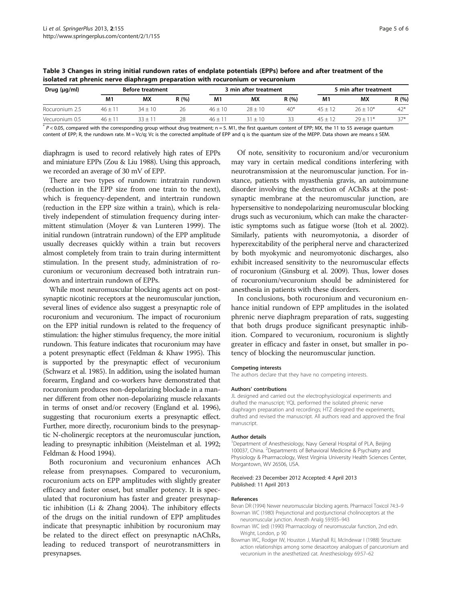| Drug (µg/ml)   | <b>Before treatment</b> |           |      | 3 min after treatment |           | 5 min after treatment |           |            |       |
|----------------|-------------------------|-----------|------|-----------------------|-----------|-----------------------|-----------|------------|-------|
|                | M <sub>1</sub>          | МX        | R(%) | M1                    | МX        | R(%)                  | M1        | <b>MX</b>  | R(%)  |
| Rocuronium 2.5 | $46 + 11$               | $34 + 10$ | 26   | $46 + 10$             | $78 + 10$ | $40*$                 | $45 + 12$ | $76 + 10*$ | $42*$ |
| Vecuronium 0.5 | $46 + 11$               | $33 + 11$ | 28   | $46 + 11$             | $31 + 10$ | スペ                    | $45 + 12$ | $79 + 11*$ | $37*$ |

<span id="page-4-0"></span>Table 3 Changes in string initial rundown rates of endplate potentials (EPPs) before and after treatment of the isolated rat phrenic nerve diaphragm preparation with rocuronium or vecuronium

 $^*$  P < 0.05, compared with the corresponding group without drug treatment; n = 5. M1, the first quantum content of EPP; MX, the 11 to 55 average quantum<br>content of EPP: B, the rundown rate M – Vc/g: Vc is the corrected content of EPP; R, the rundown rate. M = Vc/q; Vc is the corrected amplitude of EPP and q is the quantum size of the MEPP. Data shown are means ± SEM.

diaphragm is used to record relatively high rates of EPPs and miniature EPPs (Zou & Liu [1988\)](#page-5-0). Using this approach, we recorded an average of 30 mV of EPP.

There are two types of rundown: intratrain rundown (reduction in the EPP size from one train to the next), which is frequency-dependent, and intertrain rundown (reduction in the EPP size within a train), which is relatively independent of stimulation frequency during intermittent stimulation (Moyer & van Lunteren [1999\)](#page-5-0). The initial rundown (intratrain rundown) of the EPP amplitude usually decreases quickly within a train but recovers almost completely from train to train during intermittent stimulation. In the present study, administration of rocuronium or vecuronium decreased both intratrain rundown and intertrain rundown of EPPs.

While most neuromuscular blocking agents act on postsynaptic nicotinic receptors at the neuromuscular junction, several lines of evidence also suggest a presynaptic role of rocuronium and vecuronium. The impact of rocuronium on the EPP initial rundown is related to the frequency of stimulation: the higher stimulus frequency, the more initial rundown. This feature indicates that rocuronium may have a potent presynaptic effect (Feldman & Khaw [1995](#page-5-0)). This is supported by the presynaptic effect of vecuronium (Schwarz et al. [1985](#page-5-0)). In addition, using the isolated human forearm, England and co-workers have demonstrated that rocuronium produces non-depolarizing blockade in a manner different from other non-depolarizing muscle relaxants in terms of onset and/or recovery (England et al. [1996](#page-5-0)), suggesting that rocuronium exerts a presynaptic effect. Further, more directly, rocuronium binds to the presynaptic N-cholinergic receptors at the neuromuscular junction, leading to presynaptic inhibition (Meistelman et al. [1992](#page-5-0); Feldman & Hood [1994](#page-5-0)).

Both rocuronium and vecuronium enhances ACh release from presynapses. Compared to vecuronium, rocuronium acts on EPP amplitudes with slightly greater efficacy and faster onset, but smaller potency. It is speculated that rocuronium has faster and greater presynaptic inhibition (Li & Zhang [2004\)](#page-5-0). The inhibitory effects of the drugs on the initial rundown of EPP amplitudes indicate that presynaptic inhibition by rocuronium may be related to the direct effect on presynaptic nAChRs, leading to reduced transport of neurotransmitters in presynapses.

Of note, sensitivity to rocuronium and/or vecuronium may vary in certain medical conditions interfering with neurotransmission at the neuromuscular junction. For instance, patients with myasthenia gravis, an autoimmune disorder involving the destruction of AChRs at the postsynaptic membrane at the neuromuscular junction, are hypersensitive to nondepolarizing neuromuscular blocking drugs such as vecuronium, which can make the characteristic symptoms such as fatigue worse (Itoh et al. [2002](#page-5-0)). Similarly, patients with neuromyotonia, a disorder of hyperexcitability of the peripheral nerve and characterized by both myokymic and neuromyotonic discharges, also exhibit increased sensitivity to the neuromuscular effects of rocuronium (Ginsburg et al. [2009](#page-5-0)). Thus, lower doses of rocuronium/vecuronium should be administered for anesthesia in patients with these disorders.

In conclusions, both rocuronium and vecuronium enhance initial rundown of EPP amplitudes in the isolated phrenic nerve diaphragm preparation of rats, suggesting that both drugs produce significant presynaptic inhibition. Compared to vecuronium, rocuronium is slightly greater in efficacy and faster in onset, but smaller in potency of blocking the neuromuscular junction.

#### Competing interests

The authors declare that they have no competing interests.

#### Authors' contributions

JL designed and carried out the electrophysiological experiments and drafted the manuscript; YQL performed the isolated phrenic nerve diaphragm preparation and recordings; HTZ designed the experiments, drafted and revised the manuscript. All authors read and approved the final manuscript.

#### Author details

<sup>1</sup>Department of Anesthesiology, Navy General Hospital of PLA, Beijing 100037, China. <sup>2</sup> Departments of Behavioral Medicine & Psychiatry and Physiology & Pharmacology, West Virginia University Health Sciences Center, Morgantown, WV 26506, USA.

#### Received: 23 December 2012 Accepted: 4 April 2013 Published: 11 April 2013

#### References

- Bevan DR (1994) Newer neuromuscular blocking agents. Pharmacol Toxicol 74:3–9 Bowman WC (1980) Prejunctional and postjunctional cholinoceptors at the neuromuscular junction. Anesth Analg 59:935–943
- Bowman WC (ed) (1990) Pharmacology of neuromuscular function, 2nd edn. Wright, London, p 90
- Bowman WC, Rodger IW, Houston J, Marshall RJ, McIndewar I (1988) Structure: action relationships among some desacetoxy analogues of pancuronium and vecuronium in the anesthetized cat. Anesthesiology 69:57–62